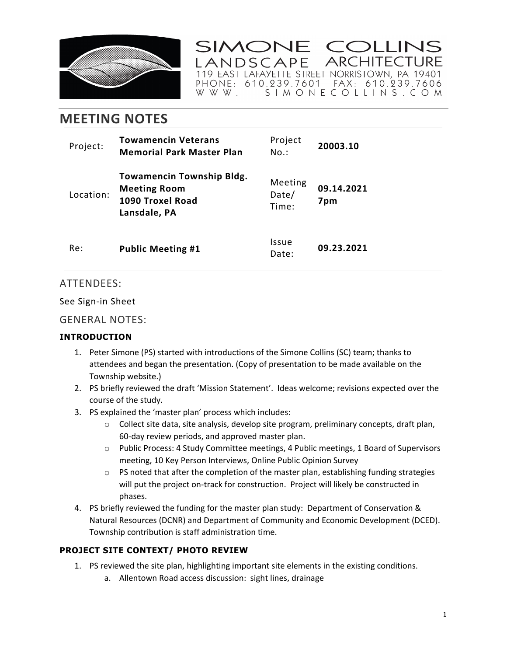

SIMONE COLLINS **ARCHITECTURE** ANDSCAPE 

# **MEETING NOTES**

| Project:  | <b>Towamencin Veterans</b><br><b>Memorial Park Master Plan</b>                              | Project<br>No.:              | 20003.10          |
|-----------|---------------------------------------------------------------------------------------------|------------------------------|-------------------|
| Location: | <b>Towamencin Township Bldg.</b><br><b>Meeting Room</b><br>1090 Troxel Road<br>Lansdale, PA | Meeting<br>Date/<br>Time:    | 09.14.2021<br>7pm |
| Re:       | <b>Public Meeting #1</b>                                                                    | <i><b>Issue</b></i><br>Date: | 09.23.2021        |

# ATTENDEES:

See Sign-in Sheet

## GENERAL NOTES:

## **INTRODUCTION**

- 1. Peter Simone (PS) started with introductions of the Simone Collins (SC) team; thanks to attendees and began the presentation. (Copy of presentation to be made available on the Township website.)
- 2. PS briefly reviewed the draft 'Mission Statement'. Ideas welcome; revisions expected over the course of the study.
- 3. PS explained the 'master plan' process which includes:
	- $\circ$  Collect site data, site analysis, develop site program, preliminary concepts, draft plan, 60-day review periods, and approved master plan.
	- o Public Process: 4 Study Committee meetings, 4 Public meetings, 1 Board of Supervisors meeting, 10 Key Person Interviews, Online Public Opinion Survey
	- $\circ$  PS noted that after the completion of the master plan, establishing funding strategies will put the project on-track for construction. Project will likely be constructed in phases.
- 4. PS briefly reviewed the funding for the master plan study: Department of Conservation & Natural Resources (DCNR) and Department of Community and Economic Development (DCED). Township contribution is staff administration time.

## **PROJECT SITE CONTEXT/ PHOTO REVIEW**

- 1. PS reviewed the site plan, highlighting important site elements in the existing conditions.
	- a. Allentown Road access discussion: sight lines, drainage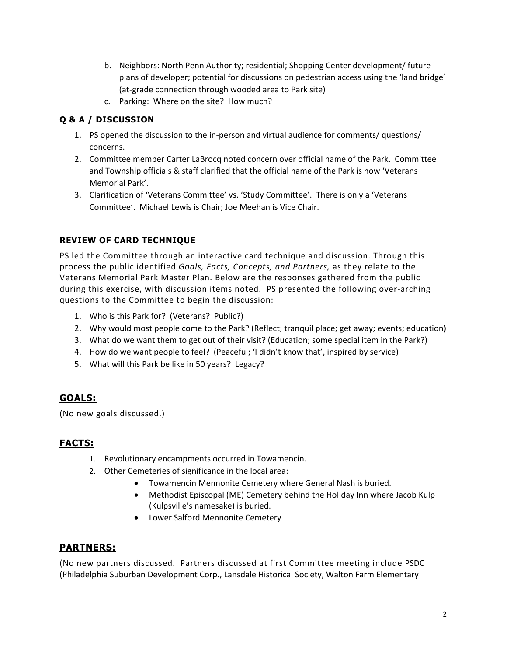- b. Neighbors: North Penn Authority; residential; Shopping Center development/ future plans of developer; potential for discussions on pedestrian access using the 'land bridge' (at-grade connection through wooded area to Park site)
- c. Parking: Where on the site? How much?

## **Q & A / DISCUSSION**

- 1. PS opened the discussion to the in-person and virtual audience for comments/ questions/ concerns.
- 2. Committee member Carter LaBrocq noted concern over official name of the Park. Committee and Township officials & staff clarified that the official name of the Park is now 'Veterans Memorial Park'.
- 3. Clarification of 'Veterans Committee' vs. 'Study Committee'. There is only a 'Veterans Committee'. Michael Lewis is Chair; Joe Meehan is Vice Chair.

## **REVIEW OF CARD TECHNIQUE**

PS led the Committee through an interactive card technique and discussion. Through this process the public identified *Goals, Facts, Concepts, and Partners,* as they relate to the Veterans Memorial Park Master Plan. Below are the responses gathered from the public during this exercise, with discussion items noted. PS presented the following over-arching questions to the Committee to begin the discussion:

- 1. Who is this Park for? (Veterans? Public?)
- 2. Why would most people come to the Park? (Reflect; tranquil place; get away; events; education)
- 3. What do we want them to get out of their visit? (Education; some special item in the Park?)
- 4. How do we want people to feel? (Peaceful; 'I didn't know that', inspired by service)
- 5. What will this Park be like in 50 years? Legacy?

# **GOALS:**

(No new goals discussed.)

## **FACTS:**

- 1. Revolutionary encampments occurred in Towamencin.
- 2. Other Cemeteries of significance in the local area:
	- Towamencin Mennonite Cemetery where General Nash is buried.
	- Methodist Episcopal (ME) Cemetery behind the Holiday Inn where Jacob Kulp (Kulpsville's namesake) is buried.
	- Lower Salford Mennonite Cemetery

## **PARTNERS:**

(No new partners discussed. Partners discussed at first Committee meeting include PSDC (Philadelphia Suburban Development Corp., Lansdale Historical Society, Walton Farm Elementary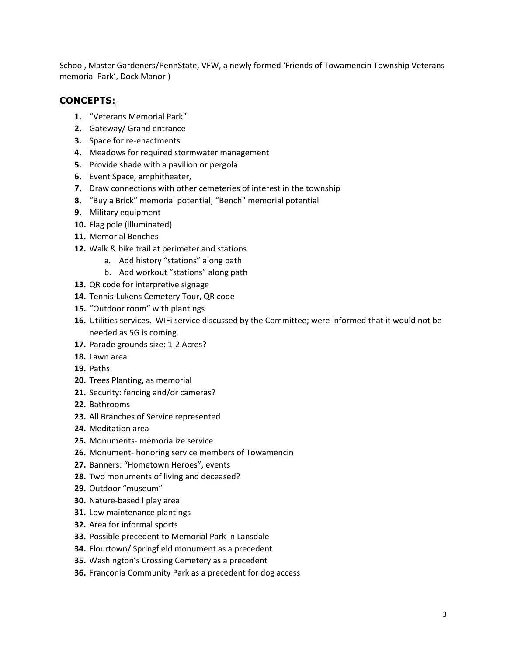School, Master Gardeners/PennState, VFW, a newly formed 'Friends of Towamencin Township Veterans memorial Park', Dock Manor )

#### **CONCEPTS:**

- **1.** "Veterans Memorial Park"
- **2.** Gateway/ Grand entrance
- **3.** Space for re-enactments
- **4.** Meadows for required stormwater management
- **5.** Provide shade with a pavilion or pergola
- **6.** Event Space, amphitheater,
- **7.** Draw connections with other cemeteries of interest in the township
- **8.** "Buy a Brick" memorial potential; "Bench" memorial potential
- **9.** Military equipment
- **10.** Flag pole (illuminated)
- **11.** Memorial Benches
- **12.** Walk & bike trail at perimeter and stations
	- a. Add history "stations" along path
	- b. Add workout "stations" along path
- **13.** QR code for interpretive signage
- **14.** Tennis-Lukens Cemetery Tour, QR code
- **15.** "Outdoor room" with plantings
- **16.** Utilities services. WIFi service discussed by the Committee; were informed that it would not be needed as 5G is coming.
- **17.** Parade grounds size: 1-2 Acres?
- **18.** Lawn area
- **19.** Paths
- **20.** Trees Planting, as memorial
- **21.** Security: fencing and/or cameras?
- **22.** Bathrooms
- **23.** All Branches of Service represented
- **24.** Meditation area
- **25.** Monuments- memorialize service
- **26.** Monument- honoring service members of Towamencin
- **27.** Banners: "Hometown Heroes", events
- **28.** Two monuments of living and deceased?
- **29.** Outdoor "museum"
- **30.** Nature-based l play area
- **31.** Low maintenance plantings
- **32.** Area for informal sports
- **33.** Possible precedent to Memorial Park in Lansdale
- **34.** Flourtown/ Springfield monument as a precedent
- **35.** Washington's Crossing Cemetery as a precedent
- **36.** Franconia Community Park as a precedent for dog access